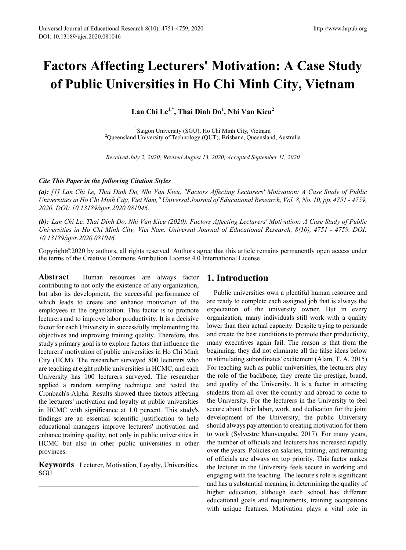# **Factors Affecting Lecturers' Motivation: A Case Study of Public Universities in Ho Chi Minh City, Vietnam**

**Lan Chi Le1,\*, Thai Dinh Do1 , Nhi Van Kieu<sup>2</sup>**

<sup>1</sup>Saigon University (SGU), Ho Chi Minh City, Vietnam Saigon University (SGU), Ho Chi Minh City, Vietnam <sup>2</sup> Queensland University of Technology (QUT), Brisbane, Queensland, Australia

*Received July 2, 2020; Revised August 13, 2020; Accepted September 11, 2020*

## *Cite This Paper in the following Citation Styles*

*(a): [1] Lan Chi Le, Thai Dinh Do, Nhi Van Kieu, "Factors Affecting Lecturers' Motivation: A Case Study of Public Universities in Ho Chi Minh City, Viet Nam," Universal Journal of Educational Research, Vol. 8, No. 10, pp. 4751 - 4759, 2020. DOI: 10.13189/ujer.2020.081046.* 

*(b): Lan Chi Le, Thai Dinh Do, Nhi Van Kieu (2020). Factors Affecting Lecturers' Motivation: A Case Study of Public Universities in Ho Chi Minh City, Viet Nam. Universal Journal of Educational Research, 8(10), 4751 - 4759. DOI: 10.13189/ujer.2020.081046.* 

Copyright©2020 by authors, all rights reserved. Authors agree that this article remains permanently open access under the terms of the Creative Commons Attribution License 4.0 International License

**Abstract** Human resources are always factor contributing to not only the existence of any organization, but also its development, the successful performance of which leads to create and enhance motivation of the employees in the organization. This factor is to promote lecturers and to improve labor productivity. It is a decisive factor for each University in successfully implementing the objectives and improving training quality. Therefore, this study's primary goal is to explore factors that influence the lecturers' motivation of public universities in Ho Chi Minh City (HCM). The researcher surveyed 800 lecturers who are teaching at eight public universities in HCMC, and each University has 100 lecturers surveyed. The researcher applied a random sampling technique and tested the Cronbach's Alpha. Results showed three factors affecting the lecturers' motivation and loyalty at public universities in HCMC with significance at 1.0 percent. This study's findings are an essential scientific justification to help educational managers improve lecturers' motivation and enhance training quality, not only in public universities in HCMC but also in other public universities in other provinces.

**Keywords** Lecturer, Motivation, Loyalty, Universities, SGU

# **1. Introduction**

Public universities own a plentiful human resource and are ready to complete each assigned job that is always the expectation of the university owner. But in every organization, many individuals still work with a quality lower than their actual capacity. Despite trying to persuade and create the best conditions to promote their productivity, many executives again fail. The reason is that from the beginning, they did not eliminate all the false ideas below in stimulating subordinates' excitement (Alam, T. A, 2015). For teaching such as public universities, the lecturers play the role of the backbone; they create the prestige, brand, and quality of the University. It is a factor in attracting students from all over the country and abroad to come to the University. For the lecturers in the University to feel secure about their labor, work, and dedication for the joint development of the University, the public University should always pay attention to creating motivation for them to work (Sylvestre Munyengabe, 2017). For many years, the number of officials and lecturers has increased rapidly over the years. Policies on salaries, training, and retraining of officials are always on top priority. This factor makes the lecturer in the University feels secure in working and engaging with the teaching. The lecture's role is significant and has a substantial meaning in determining the quality of higher education, although each school has different educational goals and requirements, training occupations with unique features. Motivation plays a vital role in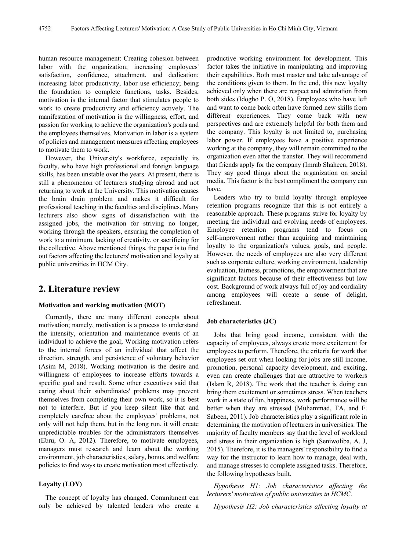human resource management: Creating cohesion between labor with the organization; increasing employees' satisfaction, confidence, attachment, and dedication; increasing labor productivity, labor use efficiency; being the foundation to complete functions, tasks. Besides, motivation is the internal factor that stimulates people to work to create productivity and efficiency actively. The manifestation of motivation is the willingness, effort, and passion for working to achieve the organization's goals and the employees themselves. Motivation in labor is a system of policies and management measures affecting employees to motivate them to work.

However, the University's workforce, especially its faculty, who have high professional and foreign language skills, has been unstable over the years. At present, there is still a phenomenon of lecturers studying abroad and not returning to work at the University. This motivation causes the brain drain problem and makes it difficult for professional teaching in the faculties and disciplines. Many lecturers also show signs of dissatisfaction with the assigned jobs, the motivation for striving no longer, working through the speakers, ensuring the completion of work to a minimum, lacking of creativity, or sacrificing for the collective. Above mentioned things, the paper is to find out factors affecting the lecturers' motivation and loyalty at public universities in HCM City.

## **2. Literature review**

#### **Motivation and working motivation (MOT)**

Currently, there are many different concepts about motivation; namely, motivation is a process to understand the intensity, orientation and maintenance events of an individual to achieve the goal; Working motivation refers to the internal forces of an individual that affect the direction, strength, and persistence of voluntary behavior (Asim M, 2018). Working motivation is the desire and willingness of employees to increase efforts towards a specific goal and result. Some other executives said that caring about their subordinates' problems may prevent themselves from completing their own work, so it is best not to interfere. But if you keep silent like that and completely carefree about the employees' problems, not only will not help them, but in the long run, it will create unpredictable troubles for the administrators themselves (Ebru, O. A, 2012). Therefore, to motivate employees, managers must research and learn about the working environment, job characteristics, salary, bonus, and welfare policies to find ways to create motivation most effectively.

#### **Loyalty (LOY)**

The concept of loyalty has changed. Commitment can only be achieved by talented leaders who create a productive working environment for development. This factor takes the initiative in manipulating and improving their capabilities. Both must master and take advantage of the conditions given to them. In the end, this new loyalty achieved only when there are respect and admiration from both sides (Idogho P. O, 2018). Employees who have left and want to come back often have formed new skills from different experiences. They come back with new perspectives and are extremely helpful for both them and the company. This loyalty is not limited to, purchasing labor power. If employees have a positive experience working at the company, they will remain committed to the organization even after the transfer. They will recommend that friends apply for the company (Imrab Shaheen, 2018). They say good things about the organization on social media. This factor is the best compliment the company can have.

Leaders who try to build loyalty through employee retention programs recognize that this is not entirely a reasonable approach. These programs strive for loyalty by meeting the individual and evolving needs of employees. Employee retention programs tend to focus on self-improvement rather than acquiring and maintaining loyalty to the organization's values, goals, and people. However, the needs of employees are also very different such as corporate culture, working environment, leadership evaluation, fairness, promotions, the empowerment that are significant factors because of their effectiveness but low cost. Background of work always full of joy and cordiality among employees will create a sense of delight, refreshment.

#### **Job characteristics (JC)**

Jobs that bring good income, consistent with the capacity of employees, always create more excitement for employees to perform. Therefore, the criteria for work that employees set out when looking for jobs are still income, promotion, personal capacity development, and exciting, even can create challenges that are attractive to workers (Islam R, 2018). The work that the teacher is doing can bring them excitement or sometimes stress. When teachers work in a state of fun, happiness, work performance will be better when they are stressed (Muhammad, TA, and F. Sabeen, 2011). Job characteristics play a significant role in determining the motivation of lecturers in universities. The majority of faculty members say that the level of workload and stress in their organization is high (Seniwoliba, A. J, 2015). Therefore, it is the managers' responsibility to find a way for the instructor to learn how to manage, deal with, and manage stresses to complete assigned tasks. Therefore, the following hypotheses built.

*Hypothesis H1: Job characteristics affecting the lecturers' motivation of public universities in HCMC.* 

*Hypothesis H2: Job characteristics affecting loyalty at*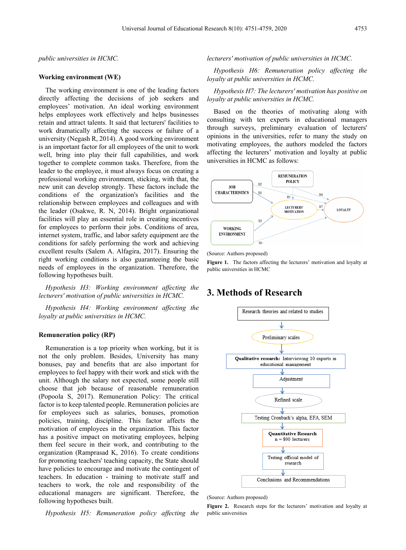#### *public universities in HCMC.*

#### **Working environment (WE)**

The working environment is one of the leading factors directly affecting the decisions of job seekers and employees' motivation. An ideal working environment helps employees work effectively and helps businesses retain and attract talents. It said that lecturers' facilities to work dramatically affecting the success or failure of a university (Negash R, 2014). A good working environment is an important factor for all employees of the unit to work well, bring into play their full capabilities, and work together to complete common tasks. Therefore, from the leader to the employee, it must always focus on creating a professional working environment, sticking, with that, the new unit can develop strongly. These factors include the conditions of the organization's facilities and the relationship between employees and colleagues and with the leader (Osakwe, R. N, 2014). Bright organizational facilities will play an essential role in creating incentives for employees to perform their jobs. Conditions of area, internet system, traffic, and labor safety equipment are the conditions for safely performing the work and achieving excellent results (Salem A. Alfagira, 2017). Ensuring the right working conditions is also guaranteeing the basic needs of employees in the organization. Therefore, the following hypotheses built.

*Hypothesis H3: Working environment affecting the lecturers' motivation of public universities in HCMC.* 

*Hypothesis H4: Working environment affecting the loyalty at public universities in HCMC.*

#### **Remuneration policy (RP)**

Remuneration is a top priority when working, but it is not the only problem. Besides, University has many bonuses, pay and benefits that are also important for employees to feel happy with their work and stick with the unit. Although the salary not expected, some people still choose that job because of reasonable remuneration (Popoola S, 2017). Remuneration Policy: The critical factor is to keep talented people. Remuneration policies are for employees such as salaries, bonuses, promotion policies, training, discipline. This factor affects the motivation of employees in the organization. This factor has a positive impact on motivating employees, helping them feel secure in their work, and contributing to the organization (Ramprasad K, 2016). To create conditions for promoting teachers' teaching capacity, the State should have policies to encourage and motivate the contingent of teachers. In education - training to motivate staff and teachers to work, the role and responsibility of the educational managers are significant. Therefore, the following hypotheses built.

*Hypothesis H5: Remuneration policy affecting the* 

### *lecturers' motivation of public universities in HCMC.*

*Hypothesis H6: Remuneration policy affecting the loyalty at public universities in HCMC.*

*Hypothesis H7: The lecturers' motivation has positive on loyalty at public universities in HCMC.* 

Based on the theories of motivating along with consulting with ten experts in educational managers through surveys, preliminary evaluation of lecturers' opinions in the universities, refer to many the study on motivating employees, the authors modeled the factors affecting the lecturers' motivation and loyalty at public universities in HCMC as follows:



(Source: Authors proposed)

**Figure 1.** The factors affecting the lecturers' motivation and loyalty at public universities in HCMC

## **3. Methods of Research**



(Source: Authors proposed)

**Figure 2.** Research steps for the lecturers' motivation and loyalty at public universities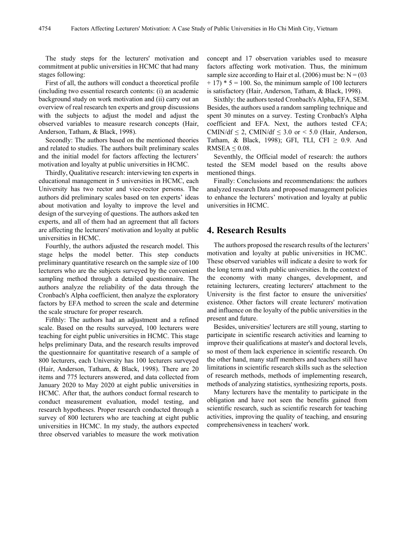The study steps for the lecturers' motivation and commitment at public universities in HCMC that had many stages following:

First of all, the authors will conduct a theoretical profile (including two essential research contents: (i) an academic background study on work motivation and (ii) carry out an overview of real research ten experts and group discussions with the subjects to adjust the model and adjust the observed variables to measure research concepts (Hair, Anderson, Tatham, & Black, 1998).

Secondly: The authors based on the mentioned theories and related to studies. The authors built preliminary scales and the initial model for factors affecting the lecturers' motivation and loyalty at public universities in HCMC.

Thirdly, Qualitative research: interviewing ten experts in educational management in 5 universities in HCMC, each University has two rector and vice-rector persons. The authors did preliminary scales based on ten experts' ideas about motivation and loyalty to improve the level and design of the surveying of questions. The authors asked ten experts, and all of them had an agreement that all factors are affecting the lecturers' motivation and loyalty at public universities in HCMC.

Fourthly, the authors adjusted the research model. This stage helps the model better. This step conducts preliminary quantitative research on the sample size of 100 lecturers who are the subjects surveyed by the convenient sampling method through a detailed questionnaire. The authors analyze the reliability of the data through the Cronbach's Alpha coefficient, then analyze the exploratory factors by EFA method to screen the scale and determine the scale structure for proper research.

Fifthly: The authors had an adjustment and a refined scale. Based on the results surveyed, 100 lecturers were teaching for eight public universities in HCMC. This stage helps preliminary Data, and the research results improved the questionnaire for quantitative research of a sample of 800 lecturers, each University has 100 lecturers surveyed (Hair, Anderson, Tatham, & Black, 1998). There are 20 items and 775 lecturers answered, and data collected from January 2020 to May 2020 at eight public universities in HCMC. After that, the authors conduct formal research to conduct measurement evaluation, model testing, and research hypotheses. Proper research conducted through a survey of 800 lecturers who are teaching at eight public universities in HCMC. In my study, the authors expected three observed variables to measure the work motivation

concept and 17 observation variables used to measure factors affecting work motivation. Thus, the minimum sample size according to Hair et al. (2006) must be:  $N = (03$  $+ 17$ )  $* 5 = 100$ . So, the minimum sample of 100 lecturers is satisfactory (Hair, Anderson, Tatham, & Black, 1998).

Sixthly: the authors tested Cronbach's Alpha, EFA, SEM. Besides, the authors used a random sampling technique and spent 30 minutes on a survey. Testing Cronbach's Alpha coefficient and EFA. Next, the authors tested CFA; CMIN/df  $\leq$  2, CMIN/df  $\leq$  3.0 or  $\leq$  5.0 (Hair, Anderson, Tatham, & Black, 1998); GFI, TLI, CFI  $\geq$  0.9. And RMSEA  $\leq 0.08$ .

Seventhly, the Official model of research: the authors tested the SEM model based on the results above mentioned things.

Finally: Conclusions and recommendations: the authors analyzed research Data and proposed management policies to enhance the lecturers' motivation and loyalty at public universities in HCMC.

## **4. Research Results**

The authors proposed the research results of the lecturers' motivation and loyalty at public universities in HCMC. These observed variables will indicate a desire to work for the long term and with public universities. In the context of the economy with many changes, development, and retaining lecturers, creating lecturers' attachment to the University is the first factor to ensure the universities' existence. Other factors will create lecturers' motivation and influence on the loyalty of the public universities in the present and future.

Besides, universities' lecturers are still young, starting to participate in scientific research activities and learning to improve their qualifications at master's and doctoral levels, so most of them lack experience in scientific research. On the other hand, many staff members and teachers still have limitations in scientific research skills such as the selection of research methods, methods of implementing research, methods of analyzing statistics, synthesizing reports, posts.

Many lecturers have the mentality to participate in the obligation and have not seen the benefits gained from scientific research, such as scientific research for teaching activities, improving the quality of teaching, and ensuring comprehensiveness in teachers' work.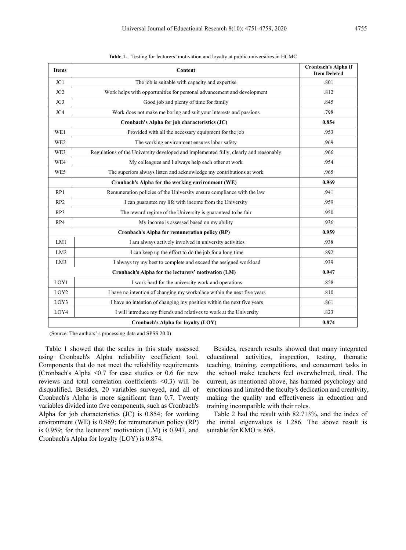| <b>Items</b>     | Content                                                                               | Cronbach's Alpha if<br><b>Item Deleted</b> |
|------------------|---------------------------------------------------------------------------------------|--------------------------------------------|
| JC1              | The job is suitable with capacity and expertise                                       | .801                                       |
| JC2              | Work helps with opportunities for personal advancement and development                | .812                                       |
| JC3              | Good job and plenty of time for family                                                | .845                                       |
| JC4              | Work does not make me boring and suit your interests and passions                     | .798                                       |
|                  | Cronbach's Alpha for job characteristics (JC)                                         | 0.854                                      |
| WE1              | Provided with all the necessary equipment for the job                                 | .953                                       |
| WE <sub>2</sub>  | The working environment ensures labor safety                                          | .969                                       |
| WE3              | Regulations of the University developed and implemented fully, clearly and reasonably | .966                                       |
| WE4              | My colleagues and I always help each other at work                                    | .954                                       |
| WE5              | The superiors always listen and acknowledge my contributions at work                  | .965                                       |
|                  | 0.969                                                                                 |                                            |
| RP1              | Remuneration policies of the University ensure compliance with the law                | .941                                       |
| RP2              | I can guarantee my life with income from the University                               | .959                                       |
| RP3              | The reward regime of the University is guaranteed to be fair                          | .950                                       |
| RP4              | My income is assessed based on my ability                                             | .936                                       |
|                  | 0.959                                                                                 |                                            |
| LM1              | I am always actively involved in university activities                                | .938                                       |
| LM2              | I can keep up the effort to do the job for a long time                                | .892                                       |
| LM3              | I always try my best to complete and exceed the assigned workload                     | .939                                       |
|                  | 0.947                                                                                 |                                            |
| LOY1             | I work hard for the university work and operations                                    | .858                                       |
| LOY <sub>2</sub> | I have no intention of changing my workplace within the next five years               | .810                                       |
| LOY3             | I have no intention of changing my position within the next five years                | .861                                       |
| LOY4             | I will introduce my friends and relatives to work at the University                   | .823                                       |
|                  | 0.874                                                                                 |                                            |

**Table 1.** Testing for lecturers' motivation and loyalty at public universities in HCMC

(Source: The authors' s processing data and SPSS 20.0)

Table 1 showed that the scales in this study assessed using Cronbach's Alpha reliability coefficient tool. Components that do not meet the reliability requirements (Cronbach's Alpha <0.7 for case studies or 0.6 for new reviews and total correlation coefficients <0.3) will be disqualified. Besides, 20 variables surveyed, and all of Cronbach's Alpha is more significant than 0.7. Twenty variables divided into five components, such as Cronbach's Alpha for job characteristics (JC) is 0.854; for working environment (WE) is 0.969; for remuneration policy (RP) is 0.959; for the lecturers' motivation (LM) is 0.947, and Cronbach's Alpha for loyalty (LOY) is 0.874.

Besides, research results showed that many integrated educational activities, inspection, testing, thematic teaching, training, competitions, and concurrent tasks in the school make teachers feel overwhelmed, tired. The current, as mentioned above, has harmed psychology and emotions and limited the faculty's dedication and creativity, making the quality and effectiveness in education and training incompatible with their roles.

Table 2 had the result with 82.713%, and the index of the initial eigenvalues is 1.286. The above result is suitable for KMO is 868.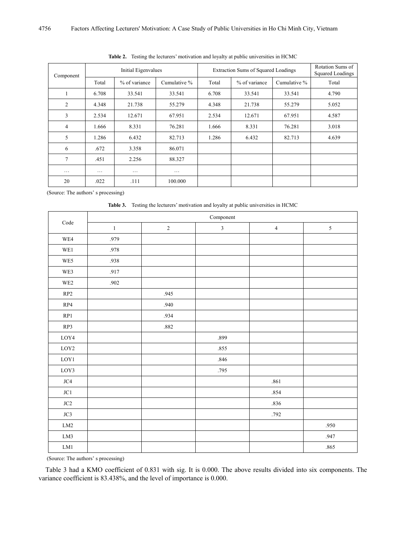| Component      | Initial Eigenvalues |               |              | Extraction Sums of Squared Loadings | Rotation Sums of<br>Squared Loadings |              |       |
|----------------|---------------------|---------------|--------------|-------------------------------------|--------------------------------------|--------------|-------|
|                | Total               | % of variance | Cumulative % | Total                               | % of variance                        | Cumulative % | Total |
|                | 6.708               | 33.541        | 33.541       | 6.708                               | 33.541                               | 33.541       | 4.790 |
| 2              | 4.348               | 21.738        | 55.279       | 4.348                               | 21.738                               | 55.279       | 5.052 |
| 3              | 2.534               | 12.671        | 67.951       | 2.534                               | 12.671                               | 67.951       | 4.587 |
| $\overline{4}$ | 1.666               | 8.331         | 76.281       | 1.666                               | 8.331                                | 76.281       | 3.018 |
| 5              | 1.286               | 6.432         | 82.713       | 1.286                               | 6.432                                | 82.713       | 4.639 |
| 6              | .672                | 3.358         | 86.071       |                                     |                                      |              |       |
| $\tau$         | .451                | 2.256         | 88.327       |                                     |                                      |              |       |
| $\cdots$       | $\cdots$            | $\cdots$      | $\cdots$     |                                     |                                      |              |       |
| 20             | .022                | .111          | 100.000      |                                     |                                      |              |       |

**Table 2.** Testing the lecturers' motivation and loyalty at public universities in HCMC

(Source: The authors' s processing)

**Table 3.** Testing the lecturers' motivation and loyalty at public universities in HCMC

|                 | Component |             |                |                |            |  |  |  |
|-----------------|-----------|-------------|----------------|----------------|------------|--|--|--|
| $\rm Code$      | $\,1$     | $\mathbf 2$ | $\mathfrak{Z}$ | $\overline{4}$ | $\sqrt{5}$ |  |  |  |
| WE4             | .979      |             |                |                |            |  |  |  |
| WE1             | .978      |             |                |                |            |  |  |  |
| WE5             | .938      |             |                |                |            |  |  |  |
| WE3             | .917      |             |                |                |            |  |  |  |
| WE <sub>2</sub> | .902      |             |                |                |            |  |  |  |
| $\mathbf{RP}2$  |           | .945        |                |                |            |  |  |  |
| RP4             |           | .940        |                |                |            |  |  |  |
| RP1             |           | .934        |                |                |            |  |  |  |
| RP3             |           | .882        |                |                |            |  |  |  |
| ${\rm LOY4}$    |           |             | .899           |                |            |  |  |  |
| $_{\rm LOY2}$   |           |             | .855           |                |            |  |  |  |
| ${\rm LOY1}$    |           |             | .846           |                |            |  |  |  |
| LOY3            |           |             | .795           |                |            |  |  |  |
| $\rm JC4$       |           |             |                | $.861\,$       |            |  |  |  |
| $\rm JC1$       |           |             |                | .854           |            |  |  |  |
| $\rm JC2$       |           |             |                | .836           |            |  |  |  |
| $\rm JC3$       |           |             |                | .792           |            |  |  |  |
| ${\rm LM2}$     |           |             |                |                | .950       |  |  |  |
| ${\rm LM3}$     |           |             |                |                | .947       |  |  |  |
| ${\rm LM1}$     |           |             |                |                | $.865\,$   |  |  |  |

(Source: The authors' s processing)

Table 3 had a KMO coefficient of 0.831 with sig. It is 0.000. The above results divided into six components. The variance coefficient is 83.438%, and the level of importance is 0.000.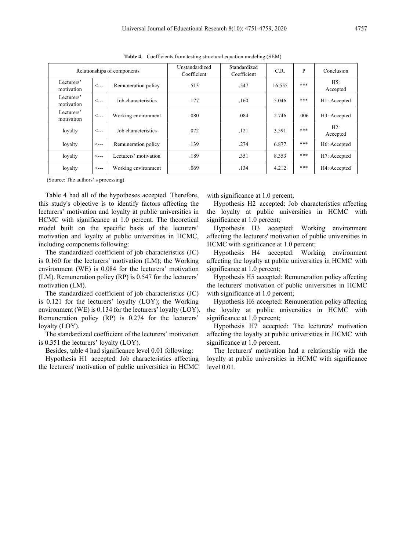| Relationships of components |              |                       | Unstandardized<br>Coefficient | Standardized<br>Coefficient | C.R.   | P    | Conclusion      |
|-----------------------------|--------------|-----------------------|-------------------------------|-----------------------------|--------|------|-----------------|
| Lecturers'<br>motivation    | $\leftarrow$ | Remuneration policy   | .513                          | .547                        | 16.555 | ***  | H5:<br>Accepted |
| Lecturers'<br>motivation    | <---         | Job characteristics   | .177                          | .160                        | 5.046  | ***  | H1: Accepted    |
| Lecturers'<br>motivation    | $\leftarrow$ | Working environment   | .080                          | .084                        | 2.746  | .006 | H3: Accepted    |
| loyalty                     | <---         | Job characteristics   | .072                          | .121                        | 3.591  | ***  | H2:<br>Accepted |
| loyalty                     | $\leftarrow$ | Remuneration policy   | .139                          | .274                        | 6.877  | ***  | H6: Accepted    |
| loyalty                     | <---         | Lecturers' motivation | .189                          | .351                        | 8.353  | ***  | H7: Accepted    |
| loyalty                     | $\leftarrow$ | Working environment   | .069                          | .134                        | 4.212  | ***  | H4: Accepted    |

**Table 4**. Coefficients from testing structural equation modeling (SEM)

(Source: The authors' s processing)

Table 4 had all of the hypotheses accepted. Therefore, this study's objective is to identify factors affecting the lecturers' motivation and loyalty at public universities in HCMC with significance at 1.0 percent. The theoretical model built on the specific basis of the lecturers' motivation and loyalty at public universities in HCMC, including components following:

The standardized coefficient of job characteristics (JC) is 0.160 for the lecturers' motivation (LM); the Working environment (WE) is 0.084 for the lecturers' motivation (LM). Remuneration policy (RP) is 0.547 for the lecturers' motivation (LM).

The standardized coefficient of job characteristics (JC) is 0.121 for the lecturers' loyalty (LOY); the Working environment (WE) is 0.134 for the lecturers' loyalty (LOY). Remuneration policy (RP) is 0.274 for the lecturers' loyalty (LOY).

The standardized coefficient of the lecturers' motivation is 0.351 the lecturers' loyalty (LOY).

Besides, table 4 had significance level 0.01 following:

Hypothesis H1 accepted: Job characteristics affecting the lecturers' motivation of public universities in HCMC with significance at 1.0 percent:

Hypothesis H2 accepted: Job characteristics affecting the loyalty at public universities in HCMC with significance at 1.0 percent;

Hypothesis H3 accepted: Working environment affecting the lecturers' motivation of public universities in HCMC with significance at 1.0 percent;

Hypothesis H4 accepted: Working environment affecting the loyalty at public universities in HCMC with significance at 1.0 percent;

Hypothesis H5 accepted: Remuneration policy affecting the lecturers' motivation of public universities in HCMC with significance at 1.0 percent;

Hypothesis H6 accepted: Remuneration policy affecting the loyalty at public universities in HCMC with significance at 1.0 percent;

Hypothesis H7 accepted: The lecturers' motivation affecting the loyalty at public universities in HCMC with significance at 1.0 percent.

The lecturers' motivation had a relationship with the loyalty at public universities in HCMC with significance level 0.01.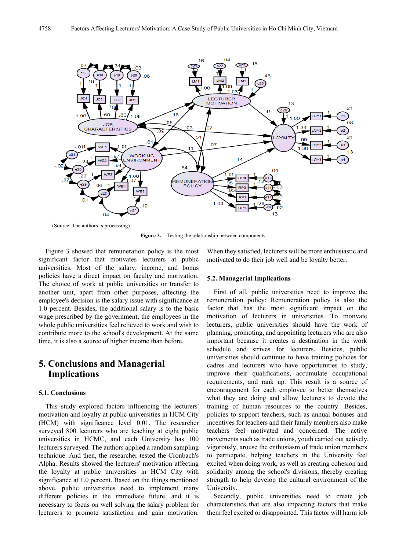

(Source: The authors' s processing)

**Figure 3.** Testing the relationship between components

Figure 3 showed that remuneration policy is the most significant factor that motivates lecturers at public universities. Most of the salary, income, and bonus policies have a direct impact on faculty and motivation. The choice of work at public universities or transfer to another unit, apart from other purposes, affecting the employee's decision is the salary issue with significance at 1.0 percent. Besides, the additional salary is to the basic wage prescribed by the government; the employees in the whole public universities feel relieved to work and wish to contribute more to the school's development. At the same time, it is also a source of higher income than before.

# **5. Conclusions and Managerial Implications**

#### **5.1. Conclusions**

This study explored factors influencing the lecturers' motivation and loyalty at public universities in HCM City (HCM) with significance level 0.01. The researcher surveyed 800 lecturers who are teaching at eight public universities in HCMC, and each University has 100 lecturers surveyed. The authors applied a random sampling technique. And then, the researcher tested the Cronbach's Alpha. Results showed the lecturers' motivation affecting the loyalty at public universities in HCM City with significance at 1.0 percent. Based on the things mentioned above, public universities need to implement many different policies in the immediate future, and it is necessary to focus on well solving the salary problem for lecturers to promote satisfaction and gain motivation.

When they satisfied, lecturers will be more enthusiastic and motivated to do their job well and be loyalty better.

#### **5.2. Managerial Implications**

First of all, public universities need to improve the remuneration policy: Remuneration policy is also the factor that has the most significant impact on the motivation of lecturers in universities. To motivate lecturers, public universities should have the work of planning, promoting, and appointing lecturers who are also important because it creates a destination in the work schedule and strives for lecturers. Besides, public universities should continue to have training policies for cadres and lecturers who have opportunities to study, improve their qualifications, accumulate occupational requirements, and rank up. This result is a source of encouragement for each employee to better themselves what they are doing and allow lecturers to devote the training of human resources to the country. Besides, policies to support teachers, such as annual bonuses and incentives for teachers and their family members also make teachers feel motivated and concerned. The active movements such as trade unions, youth carried out actively, vigorously, arouse the enthusiasm of trade union members to participate, helping teachers in the University feel excited when doing work, as well as creating cohesion and solidarity among the school's divisions, thereby creating strength to help develop the cultural environment of the University.

Secondly, public universities need to create job characteristics that are also impacting factors that make them feel excited or disappointed. This factor will harm job